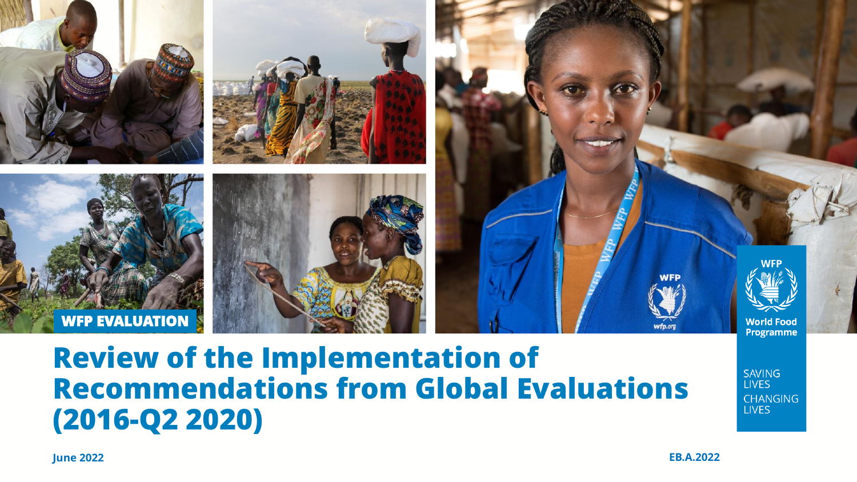

### **Review of the Implementation of Recommendations from Global Evaluations (2016-Q2 2020)**

**SAVING LIVES CHANGING LIVES**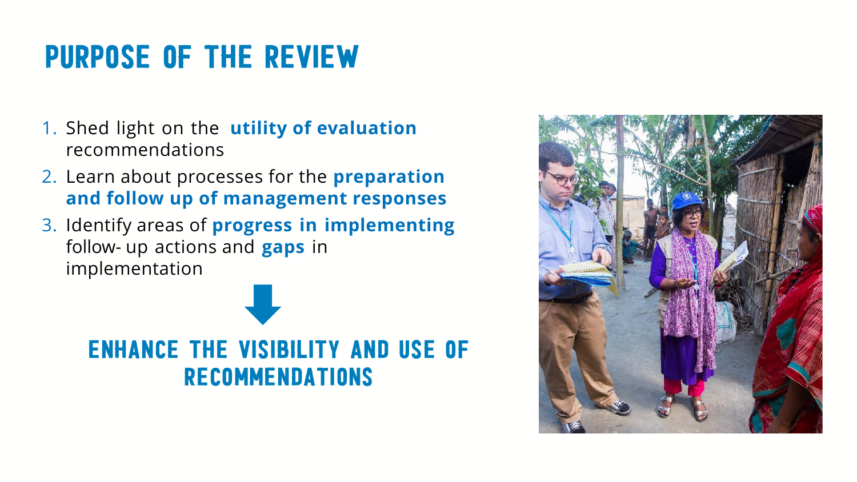## Purpose of the Review

- 1. Shed light on the **utility of evaluation**  recommendations
- 2. Learn about processes for the **preparation and follow up of management responses**
- 3. Identify areas of **progress in implementing** follow- up actions and **gaps** in implementation



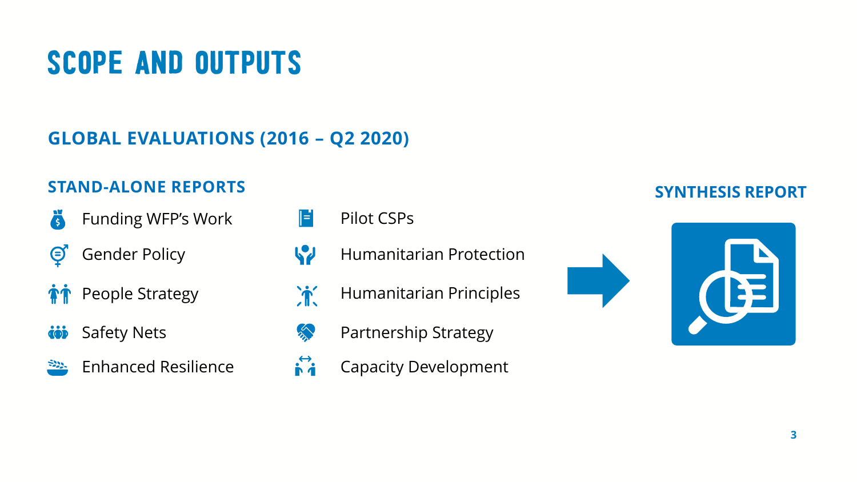# Scope and outputs

**GLOBAL EVALUATIONS (2016 – Q2 2020)**

#### **STAND-ALONE REPORTS**

- Ä Funding WFP's Work
- $\bm{\Theta}$ Gender Policy
- **PEOPLE Strategy**
- Safety Nets iój
- Enhanced Resilience <u> 322.</u>
- $\parallel$ = Pilot CSPs
- W Humanitarian Protection
- $\mathbf{\hat{J}}$ Humanitarian Principles
- m Partnership Strategy
- $\mathbf{r}^{\mathbf{t}}$ Capacity Development

#### **SYNTHESIS REPORT**

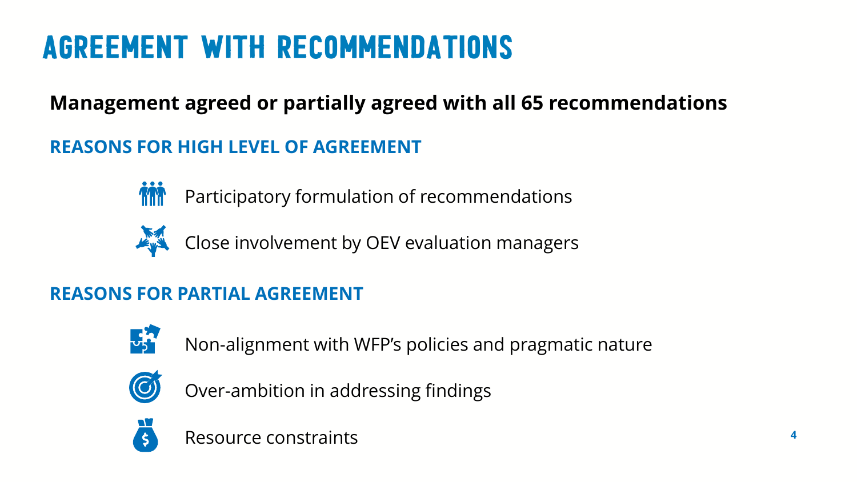# Agreement with recommendations

### **Management agreed or partially agreed with all 65 recommendations**

#### **REASONS FOR HIGH LEVEL OF AGREEMENT**



Participatory formulation of recommendations



Close involvement by OEV evaluation managers

#### **REASONS FOR PARTIAL AGREEMENT**



Non-alignment with WFP's policies and pragmatic nature



Over-ambition in addressing findings



Resource constraints **<sup>4</sup>**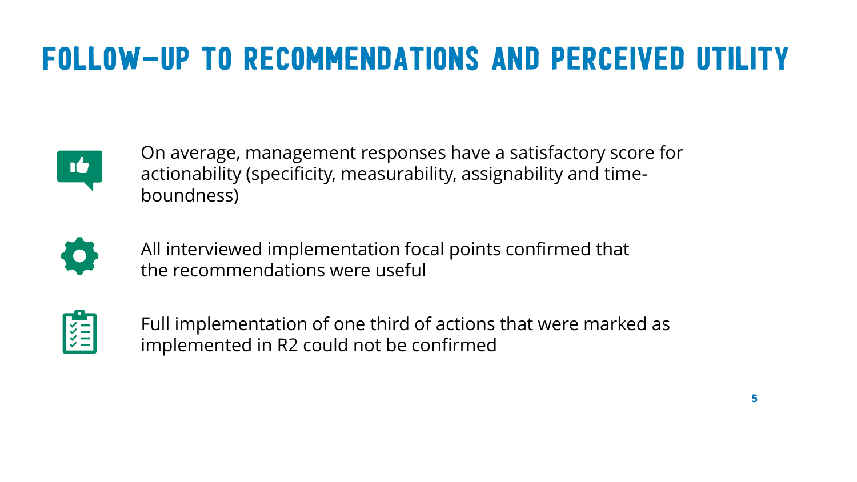## Follow-up to recommendations and perceived utility



On average, management responses have a satisfactory score for actionability (specificity, measurability, assignability and timeboundness)



All interviewed implementation focal points confirmed that the recommendations were useful



Full implementation of one third of actions that were marked as implemented in R2 could not be confirmed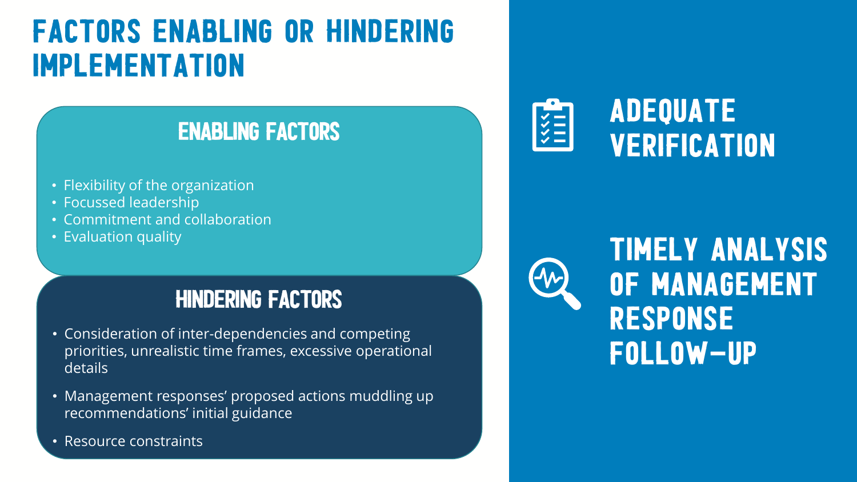### Factors enabling or hindering implementation

### Enabling factors

- Flexibility of the organization
- Focussed leadership
- Commitment and collaboration
- Evaluation quality

### Hindering factors

- Consideration of inter-dependencies and competing priorities, unrealistic time frames, excessive operational details
- Management responses' proposed actions muddling up recommendations' initial guidance
- Resource constraints





### timely analysis of management response follow-up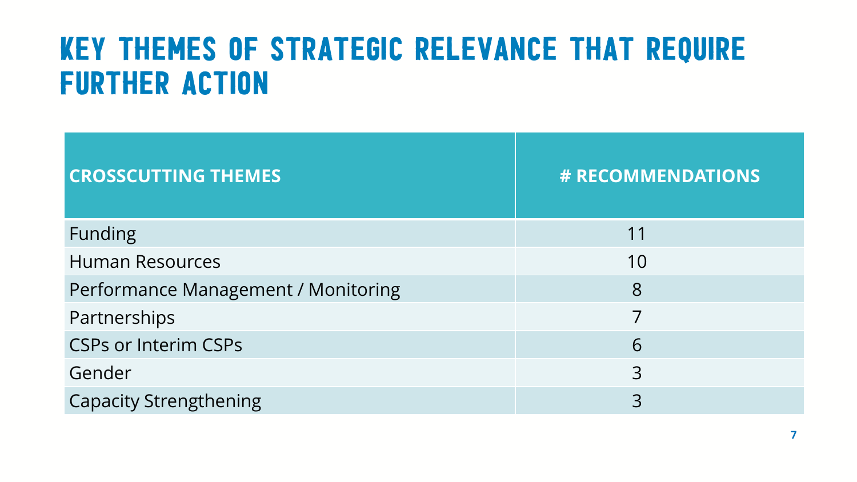### Key themes of strategic relevance that require further action

| <b>CROSSCUTTING THEMES</b>          | <b># RECOMMENDATIONS</b> |
|-------------------------------------|--------------------------|
| <b>Funding</b>                      | 11                       |
| <b>Human Resources</b>              | 10                       |
| Performance Management / Monitoring | 8                        |
| Partnerships                        | 7                        |
| <b>CSPs or Interim CSPs</b>         | 6                        |
| Gender                              | 3                        |
| <b>Capacity Strengthening</b>       | 3                        |